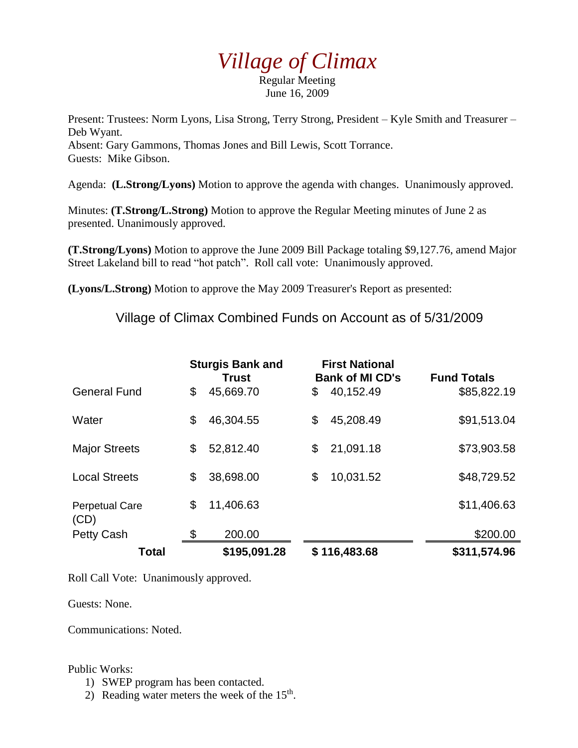## *Village of Climax*

Regular Meeting June 16, 2009

Present: Trustees: Norm Lyons, Lisa Strong, Terry Strong, President – Kyle Smith and Treasurer – Deb Wyant. Absent: Gary Gammons, Thomas Jones and Bill Lewis, Scott Torrance. Guests: Mike Gibson.

Agenda: **(L.Strong/Lyons)** Motion to approve the agenda with changes. Unanimously approved.

Minutes: **(T.Strong/L.Strong)** Motion to approve the Regular Meeting minutes of June 2 as presented. Unanimously approved.

**(T.Strong/Lyons)** Motion to approve the June 2009 Bill Package totaling \$9,127.76, amend Major Street Lakeland bill to read "hot patch". Roll call vote: Unanimously approved.

**(Lyons/L.Strong)** Motion to approve the May 2009 Treasurer's Report as presented:

Village of Climax Combined Funds on Account as of 5/31/2009

|                               | <b>Sturgis Bank and</b><br><b>Trust</b> |              | <b>First National</b><br><b>Bank of MI CD's</b> |              | <b>Fund Totals</b> |
|-------------------------------|-----------------------------------------|--------------|-------------------------------------------------|--------------|--------------------|
| <b>General Fund</b>           | \$                                      | 45,669.70    | \$                                              | 40,152.49    | \$85,822.19        |
| Water                         | \$                                      | 46,304.55    | \$                                              | 45,208.49    | \$91,513.04        |
| <b>Major Streets</b>          | \$                                      | 52,812.40    | \$                                              | 21,091.18    | \$73,903.58        |
| <b>Local Streets</b>          | \$                                      | 38,698.00    | \$                                              | 10,031.52    | \$48,729.52        |
| <b>Perpetual Care</b><br>(CD) | \$                                      | 11,406.63    |                                                 |              | \$11,406.63        |
| <b>Petty Cash</b>             | \$                                      | 200.00       |                                                 |              | \$200.00           |
| Total                         |                                         | \$195,091.28 |                                                 | \$116,483.68 | \$311,574.96       |

Roll Call Vote: Unanimously approved.

Guests: None.

Communications: Noted.

## Public Works:

- 1) SWEP program has been contacted.
- 2) Reading water meters the week of the  $15<sup>th</sup>$ .